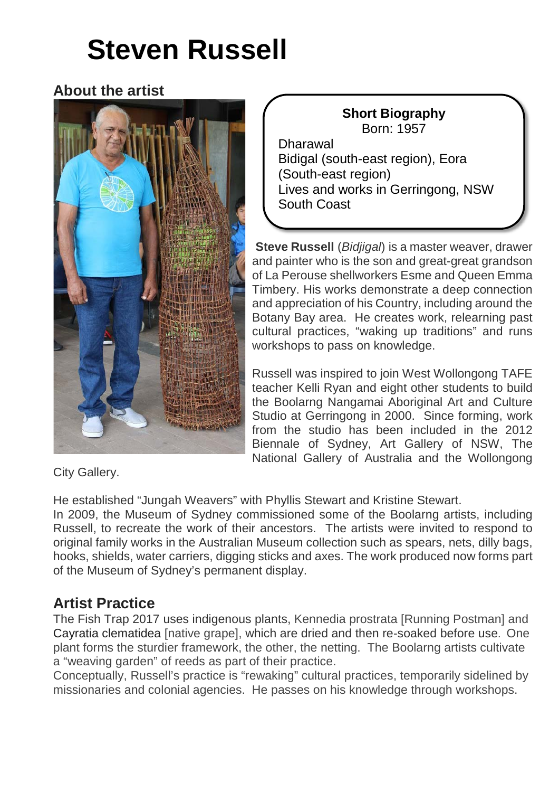# **Steven Russell**

## **About the artist**



#### **Short Biography** Born: 1957 Dharawal Bidigal (south-east region), Eora (South-east region) Lives and works in Gerringong, NSW South Coast

**Steve Russell** (*Bidjigal*) is a master weaver, drawer and painter who is the son and great-great grandson of La Perouse shellworkers Esme and Queen Emma Timbery. His works demonstrate a deep connection and appreciation of his Country, including around the Botany Bay area. He creates work, relearning past cultural practices, "waking up traditions" and runs workshops to pass on knowledge.

Russell was inspired to join West Wollongong TAFE teacher Kelli Ryan and eight other students to build the Boolarng Nangamai Aboriginal Art and Culture Studio at Gerringong in 2000. Since forming, work from the studio has been included in the 2012 Biennale of Sydney, Art Gallery of NSW, The National Gallery of Australia and the Wollongong

City Gallery.

He established "Jungah Weavers" with Phyllis Stewart and Kristine Stewart.

In 2009, the Museum of Sydney commissioned some of the Boolarng artists, including Russell, to recreate the work of their ancestors. The artists were invited to respond to original family works in the Australian Museum collection such as spears, nets, dilly bags, hooks, shields, water carriers, digging sticks and axes. The work produced now forms part of the Museum of Sydney's permanent display.

## **Artist Practice**

The Fish Trap 2017 uses indigenous plants, Kennedia prostrata [Running Postman] and Cayratia clematidea [native grape], which are dried and then re-soaked before use. One plant forms the sturdier framework, the other, the netting. The Boolarng artists cultivate a "weaving garden" of reeds as part of their practice.

Conceptually, Russell's practice is "rewaking" cultural practices, temporarily sidelined by missionaries and colonial agencies. He passes on his knowledge through workshops.